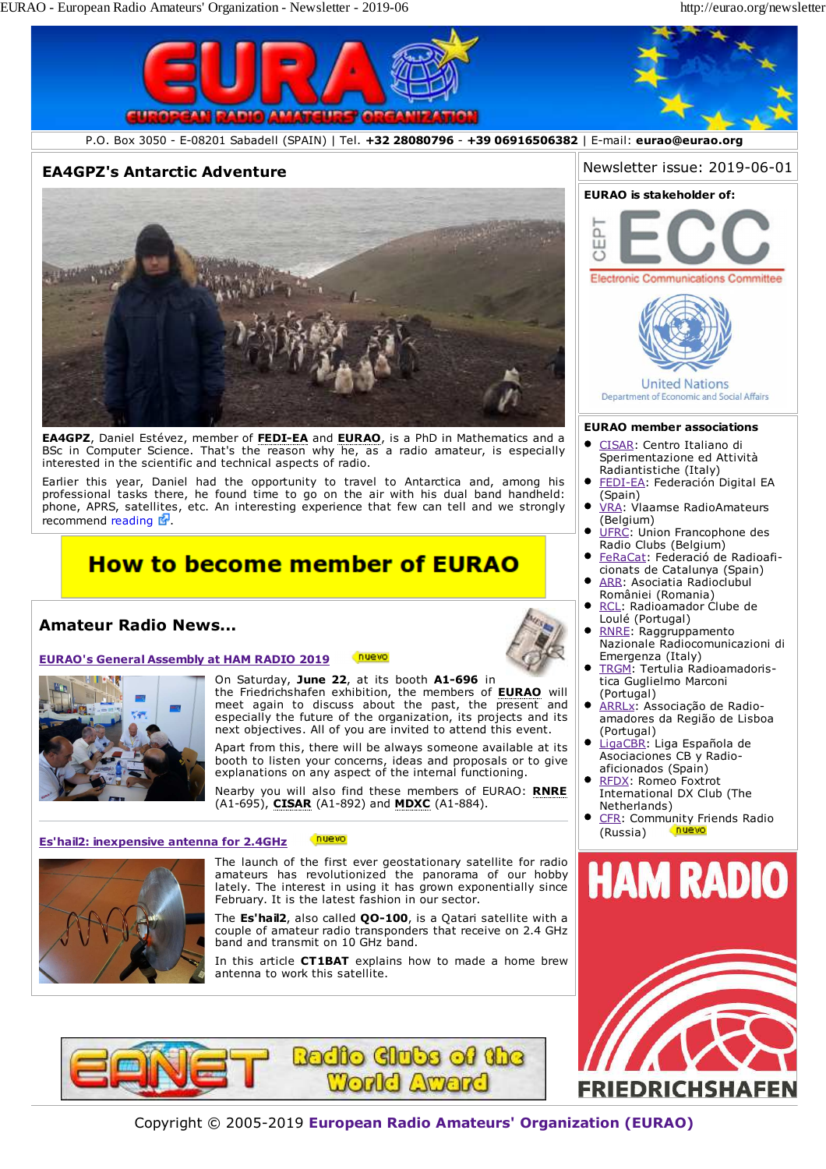

Earlier this year, Daniel had the opportunity to travel to Antarctica and, among his professional tasks there, he found time to go on the air with his dual band handheld: phone, APRS, satellites, etc. An interesting experience that few can tell and we strongly recommend reading  $\mathbb{F}$ .

# **How to become member of EURAO**

## **Amateur Radio News...**

#### **EURAO's General Assembly at HAM RADIO 2019** nuevo



On Saturday, **June 22**, at its booth **A1-696** in the Friedrichshafen exhibition, the members of **EURAO** will meet again to discuss about the past, the present and especially the future of the organization, its projects and its

next objectives. All of you are invited to attend this event. Apart from this, there will be always someone available at its booth to listen your concerns, ideas and proposals or to give explanations on any aspect of the internal functioning.

Nearby you will also find these members of EURAO: **RNRE** (A1-695), **CISAR** (A1-892) and **MDXC** (A1-884).

#### nuevo **Es'hail2: inexpensive antenna for 2.4GHz**



The launch of the first ever geostationary satellite for radio amateurs has revolutionized the panorama of our hobby lately. The interest in using it has grown exponentially since February. It is the latest fashion in our sector.

The **Es'hail2**, also called **QO-100**, is a Qatari satellite with a couple of amateur radio transponders that receive on 2.4 GHz band and transmit on 10 GHz band.

In this article **CT1BAT** explains how to made a home brew antenna to work this satellite.



- FEDI-EA: Federación Digital EA (Spain)
- $\bullet$ VRA: Vlaamse RadioAmateurs (Belgium)
- $\bullet$ UFRC: Union Francophone des Radio Clubs (Belgium)
- FeRaCat: Federació de Radioaficionats de Catalunya (Spain)
- ARR: Asociatia Radioclubul României (Romania) RCL: Radioamador Clube de
- Loulé (Portugal)
- RNRE: Raggruppamento Nazionale Radiocomunicazioni di Emergenza (Italy)
- TRGM: Tertulia Radioamadoristica Guglielmo Marconi (Portugal)
- ARRLx: Associação de Radioamadores da Região de Lisboa (Portugal)
- LigaCBR: Liga Española de Asociaciones CB y Radioaficionados (Spain)
- RFDX: Romeo Foxtrot International DX Club (The Netherlands)
- CFR: Community Friends Radio (Russia)





Copyright © 2005-2019 **European Radio Amateurs' Organization (EURAO)**